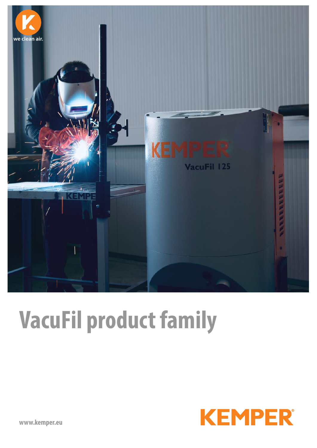

# **VacuFil product family**

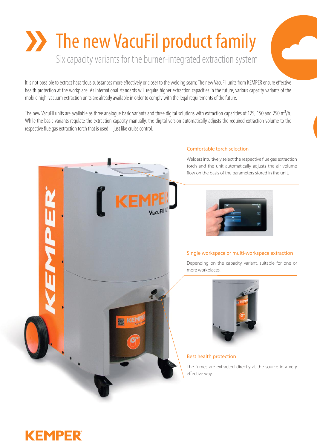## **The new VacuFil product family** Six capacity variants for the burner-integrated extraction system

It is not possible to extract hazardous substances more effectively or closer to the welding seam: The new VacuFil units from KEMPER ensure effective health protection at the workplace. As international standards will require higher extraction capacities in the future, various capacity variants of the mobile high-vacuum extraction units are already available in order to comply with the legal requirements of the future.

The new VacuFil units are available as three analogue basic variants and three digital solutions with extraction capacities of 125, 150 and 250 m<sup>3</sup>/h. While the basic variants regulate the extraction capacity manually, the digital version automatically adjusts the required extraction volume to the respective flue gas extraction torch that is used – just like cruise control.



### **KEMPER**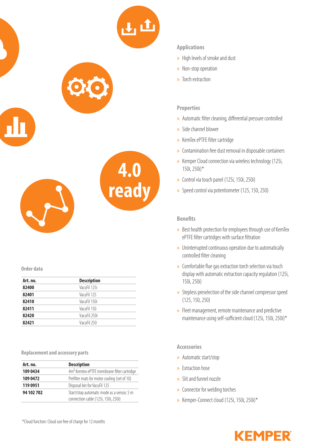

#### **Order data**

| Art. no. | <b>Description</b> |  |  |
|----------|--------------------|--|--|
| 82400    | VacuFil 125i       |  |  |
| 82401    | VacuFil 125        |  |  |
| 82410    | VacuFil 150i       |  |  |
| 82411    | VacuFil 150        |  |  |
| 82420    | VacuFil 250i       |  |  |
| 82421    | VacuFil 250        |  |  |
|          |                    |  |  |

**Replacement and accessory parts**

| Art. no.   | <b>Description</b>                                     |  |  |
|------------|--------------------------------------------------------|--|--|
| 109 0434   | 4m <sup>2</sup> Kemtex ePTFE membrane filter cartridge |  |  |
| 109 0472   | Prefilter mats for motor cooling (set of 10)           |  |  |
| 119 0951   | Disposal bin for VacuFil 125                           |  |  |
| 94 102 702 | Start/stop automatic mode as a sensor, 5 m             |  |  |
|            | connection cable (125i, 150i, 250i)                    |  |  |

#### **Applications**

- » High levels of smoke and dust
- » Non-stop operation
- » Torch extraction

#### **Properties**

- » Automatic filter cleaning, differential pressure controlled
- » Side channel blower
- » KemTex ePTFE filter cartridge
- » Contamination free dust removal in disposable containers
- » Kemper Cloud connection via wireless technology (125i, 150i, 250i)\*
- » Control via touch panel (125i, 150i, 250i)
- » Speed control via potentiometer (125, 150, 250)

#### **Benefits**

- » Best health protection for employees through use of KemTex ePTFE filter cartridges with surface filtration
- » Uninterrupted continuous operation due to automatically controlled filter cleaning
- » Comfortable flue gas extraction torch selection via touch display with automatic extraction capacity regulation (125i, 150i, 250i)
- » Stepless preselection of the side channel compressor speed (125, 150, 250)
- » Fleet management, remote maintenance and predictive maintenance using self-sufficient cloud (125i, 150i, 250i)\*

#### **Accessories**

- » Automatic start/stop
- » Extraction hose
- » Slit and funnel nozzle
- » Connector for welding torches
- » Kemper-Connect cloud (125i, 150i, 250i)\*

\*Cloud function: Cloud use free of charge for 12 months